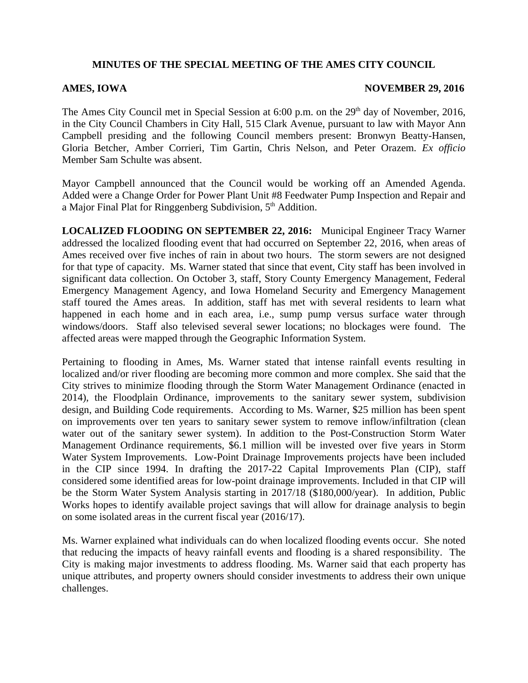## **MINUTES OF THE SPECIAL MEETING OF THE AMES CITY COUNCIL**

## **AMES, IOWA** NOVEMBER 29, 2016

The Ames City Council met in Special Session at  $6:00$  p.m. on the  $29<sup>th</sup>$  day of November, 2016, in the City Council Chambers in City Hall, 515 Clark Avenue, pursuant to law with Mayor Ann Campbell presiding and the following Council members present: Bronwyn Beatty-Hansen, Gloria Betcher, Amber Corrieri, Tim Gartin, Chris Nelson, and Peter Orazem. *Ex officio* Member Sam Schulte was absent.

Mayor Campbell announced that the Council would be working off an Amended Agenda. Added were a Change Order for Power Plant Unit #8 Feedwater Pump Inspection and Repair and a Major Final Plat for Ringgenberg Subdivision, 5<sup>th</sup> Addition.

**LOCALIZED FLOODING ON SEPTEMBER 22, 2016:** Municipal Engineer Tracy Warner addressed the localized flooding event that had occurred on September 22, 2016, when areas of Ames received over five inches of rain in about two hours. The storm sewers are not designed for that type of capacity. Ms. Warner stated that since that event, City staff has been involved in significant data collection. On October 3, staff, Story County Emergency Management, Federal Emergency Management Agency, and Iowa Homeland Security and Emergency Management staff toured the Ames areas. In addition, staff has met with several residents to learn what happened in each home and in each area, i.e., sump pump versus surface water through windows/doors. Staff also televised several sewer locations; no blockages were found. The affected areas were mapped through the Geographic Information System.

Pertaining to flooding in Ames, Ms. Warner stated that intense rainfall events resulting in localized and/or river flooding are becoming more common and more complex. She said that the City strives to minimize flooding through the Storm Water Management Ordinance (enacted in 2014), the Floodplain Ordinance, improvements to the sanitary sewer system, subdivision design, and Building Code requirements. According to Ms. Warner, \$25 million has been spent on improvements over ten years to sanitary sewer system to remove inflow/infiltration (clean water out of the sanitary sewer system). In addition to the Post-Construction Storm Water Management Ordinance requirements, \$6.1 million will be invested over five years in Storm Water System Improvements. Low-Point Drainage Improvements projects have been included in the CIP since 1994. In drafting the 2017-22 Capital Improvements Plan (CIP), staff considered some identified areas for low-point drainage improvements. Included in that CIP will be the Storm Water System Analysis starting in 2017/18 (\$180,000/year). In addition, Public Works hopes to identify available project savings that will allow for drainage analysis to begin on some isolated areas in the current fiscal year (2016/17).

Ms. Warner explained what individuals can do when localized flooding events occur. She noted that reducing the impacts of heavy rainfall events and flooding is a shared responsibility. The City is making major investments to address flooding. Ms. Warner said that each property has unique attributes, and property owners should consider investments to address their own unique challenges.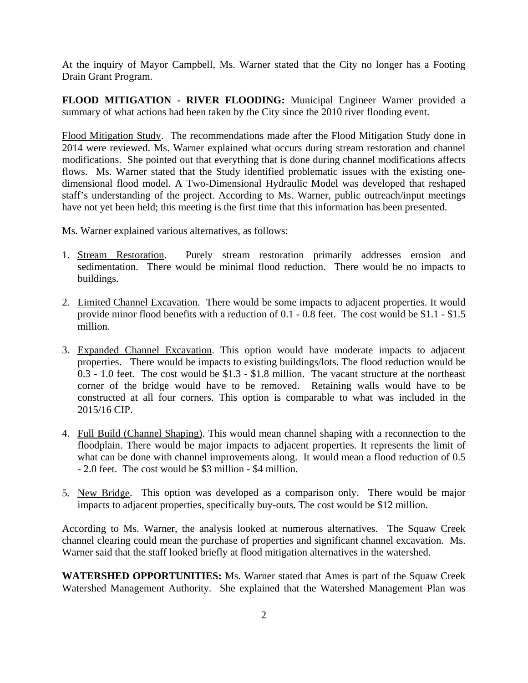At the inquiry of Mayor Campbell, Ms. Warner stated that the City no longer has a Footing Drain Grant Program.

**FLOOD MITIGATION - RIVER FLOODING:** Municipal Engineer Warner provided a summary of what actions had been taken by the City since the 2010 river flooding event.

Flood Mitigation Study. The recommendations made after the Flood Mitigation Study done in 2014 were reviewed. Ms. Warner explained what occurs during stream restoration and channel modifications. She pointed out that everything that is done during channel modifications affects flows. Ms. Warner stated that the Study identified problematic issues with the existing onedimensional flood model. A Two-Dimensional Hydraulic Model was developed that reshaped staff's understanding of the project. According to Ms. Warner, public outreach/input meetings have not yet been held; this meeting is the first time that this information has been presented.

Ms. Warner explained various alternatives, as follows:

- 1. Stream Restoration. Purely stream restoration primarily addresses erosion and sedimentation. There would be minimal flood reduction. There would be no impacts to buildings.
- 2. Limited Channel Excavation. There would be some impacts to adjacent properties. It would provide minor flood benefits with a reduction of 0.1 - 0.8 feet. The cost would be \$1.1 - \$1.5 million.
- 3. Expanded Channel Excavation. This option would have moderate impacts to adjacent properties. There would be impacts to existing buildings/lots. The flood reduction would be 0.3 - 1.0 feet. The cost would be \$1.3 - \$1.8 million. The vacant structure at the northeast corner of the bridge would have to be removed. Retaining walls would have to be constructed at all four corners. This option is comparable to what was included in the 2015/16 CIP.
- 4. Full Build (Channel Shaping). This would mean channel shaping with a reconnection to the floodplain. There would be major impacts to adjacent properties. It represents the limit of what can be done with channel improvements along. It would mean a flood reduction of 0.5 - 2.0 feet. The cost would be \$3 million - \$4 million.
- 5. New Bridge. This option was developed as a comparison only. There would be major impacts to adjacent properties, specifically buy-outs. The cost would be \$12 million.

According to Ms. Warner, the analysis looked at numerous alternatives. The Squaw Creek channel clearing could mean the purchase of properties and significant channel excavation. Ms. Warner said that the staff looked briefly at flood mitigation alternatives in the watershed.

**WATERSHED OPPORTUNITIES:** Ms. Warner stated that Ames is part of the Squaw Creek Watershed Management Authority. She explained that the Watershed Management Plan was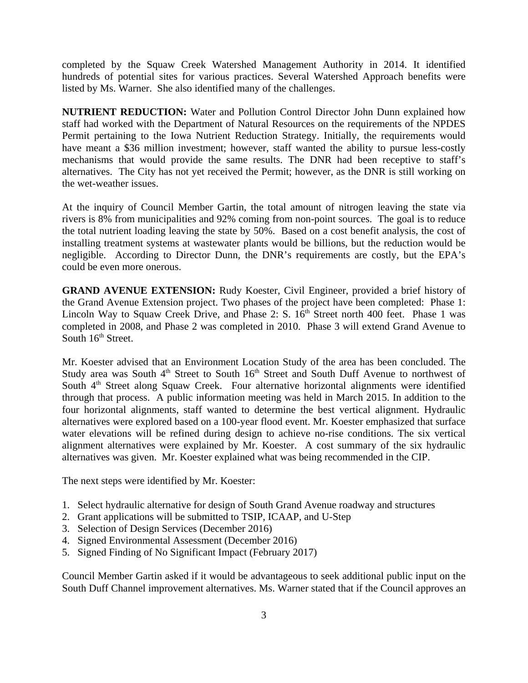completed by the Squaw Creek Watershed Management Authority in 2014. It identified hundreds of potential sites for various practices. Several Watershed Approach benefits were listed by Ms. Warner. She also identified many of the challenges.

**NUTRIENT REDUCTION:** Water and Pollution Control Director John Dunn explained how staff had worked with the Department of Natural Resources on the requirements of the NPDES Permit pertaining to the Iowa Nutrient Reduction Strategy. Initially, the requirements would have meant a \$36 million investment; however, staff wanted the ability to pursue less-costly mechanisms that would provide the same results. The DNR had been receptive to staff's alternatives. The City has not yet received the Permit; however, as the DNR is still working on the wet-weather issues.

At the inquiry of Council Member Gartin, the total amount of nitrogen leaving the state via rivers is 8% from municipalities and 92% coming from non-point sources. The goal is to reduce the total nutrient loading leaving the state by 50%. Based on a cost benefit analysis, the cost of installing treatment systems at wastewater plants would be billions, but the reduction would be negligible. According to Director Dunn, the DNR's requirements are costly, but the EPA's could be even more onerous.

**GRAND AVENUE EXTENSION:** Rudy Koester, Civil Engineer, provided a brief history of the Grand Avenue Extension project. Two phases of the project have been completed: Phase 1: Lincoln Way to Squaw Creek Drive, and Phase 2: S.  $16<sup>th</sup>$  Street north 400 feet. Phase 1 was completed in 2008, and Phase 2 was completed in 2010. Phase 3 will extend Grand Avenue to South  $16<sup>th</sup>$  Street.

Mr. Koester advised that an Environment Location Study of the area has been concluded. The Study area was South  $4<sup>th</sup>$  Street to South  $16<sup>th</sup>$  Street and South Duff Avenue to northwest of South 4<sup>th</sup> Street along Squaw Creek. Four alternative horizontal alignments were identified through that process. A public information meeting was held in March 2015. In addition to the four horizontal alignments, staff wanted to determine the best vertical alignment. Hydraulic alternatives were explored based on a 100-year flood event. Mr. Koester emphasized that surface water elevations will be refined during design to achieve no-rise conditions. The six vertical alignment alternatives were explained by Mr. Koester. A cost summary of the six hydraulic alternatives was given. Mr. Koester explained what was being recommended in the CIP.

The next steps were identified by Mr. Koester:

- 1. Select hydraulic alternative for design of South Grand Avenue roadway and structures
- 2. Grant applications will be submitted to TSIP, ICAAP, and U-Step
- 3. Selection of Design Services (December 2016)
- 4. Signed Environmental Assessment (December 2016)
- 5. Signed Finding of No Significant Impact (February 2017)

Council Member Gartin asked if it would be advantageous to seek additional public input on the South Duff Channel improvement alternatives. Ms. Warner stated that if the Council approves an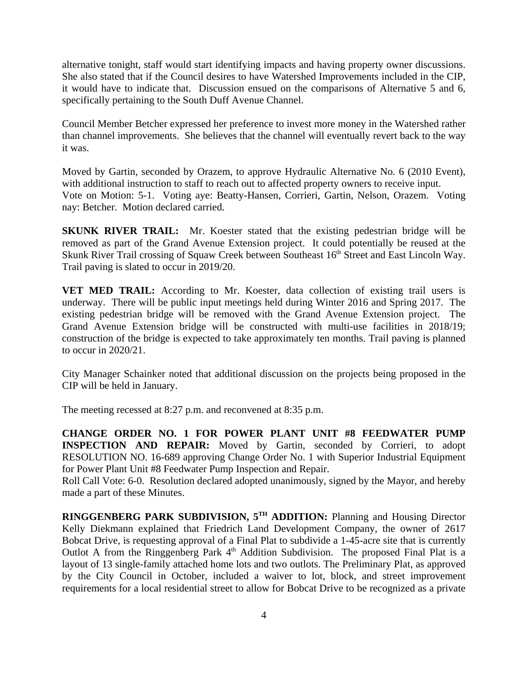alternative tonight, staff would start identifying impacts and having property owner discussions. She also stated that if the Council desires to have Watershed Improvements included in the CIP, it would have to indicate that. Discussion ensued on the comparisons of Alternative 5 and 6, specifically pertaining to the South Duff Avenue Channel.

Council Member Betcher expressed her preference to invest more money in the Watershed rather than channel improvements. She believes that the channel will eventually revert back to the way it was.

Moved by Gartin, seconded by Orazem, to approve Hydraulic Alternative No. 6 (2010 Event), with additional instruction to staff to reach out to affected property owners to receive input. Vote on Motion: 5-1. Voting aye: Beatty-Hansen, Corrieri, Gartin, Nelson, Orazem. Voting nay: Betcher. Motion declared carried.

**SKUNK RIVER TRAIL:** Mr. Koester stated that the existing pedestrian bridge will be removed as part of the Grand Avenue Extension project. It could potentially be reused at the Skunk River Trail crossing of Squaw Creek between Southeast 16<sup>th</sup> Street and East Lincoln Way. Trail paving is slated to occur in 2019/20.

**VET MED TRAIL:** According to Mr. Koester, data collection of existing trail users is underway. There will be public input meetings held during Winter 2016 and Spring 2017. The existing pedestrian bridge will be removed with the Grand Avenue Extension project. The Grand Avenue Extension bridge will be constructed with multi-use facilities in 2018/19; construction of the bridge is expected to take approximately ten months. Trail paving is planned to occur in 2020/21.

City Manager Schainker noted that additional discussion on the projects being proposed in the CIP will be held in January.

The meeting recessed at 8:27 p.m. and reconvened at 8:35 p.m.

**CHANGE ORDER NO. 1 FOR POWER PLANT UNIT #8 FEEDWATER PUMP INSPECTION AND REPAIR:** Moved by Gartin, seconded by Corrieri, to adopt RESOLUTION NO. 16-689 approving Change Order No. 1 with Superior Industrial Equipment for Power Plant Unit #8 Feedwater Pump Inspection and Repair.

Roll Call Vote: 6-0. Resolution declared adopted unanimously, signed by the Mayor, and hereby made a part of these Minutes.

**RINGGENBERG PARK SUBDIVISION, 5TH ADDITION:** Planning and Housing Director Kelly Diekmann explained that Friedrich Land Development Company, the owner of 2617 Bobcat Drive, is requesting approval of a Final Plat to subdivide a 1-45-acre site that is currently Outlot A from the Ringgenberg Park  $4<sup>th</sup>$  Addition Subdivision. The proposed Final Plat is a layout of 13 single-family attached home lots and two outlots. The Preliminary Plat, as approved by the City Council in October, included a waiver to lot, block, and street improvement requirements for a local residential street to allow for Bobcat Drive to be recognized as a private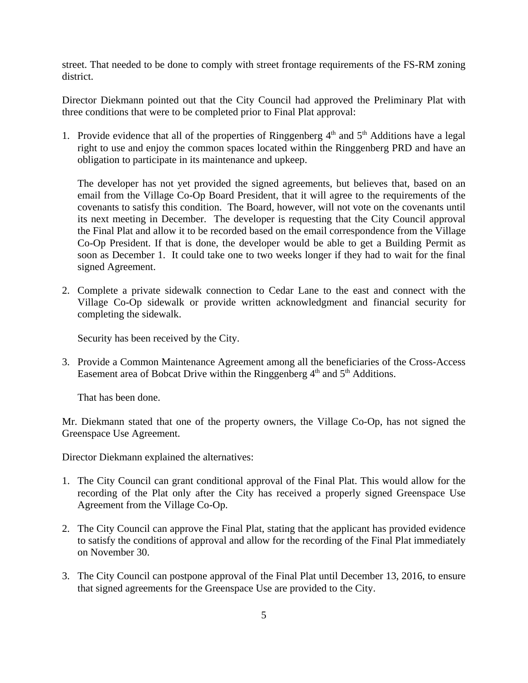street. That needed to be done to comply with street frontage requirements of the FS-RM zoning district.

Director Diekmann pointed out that the City Council had approved the Preliminary Plat with three conditions that were to be completed prior to Final Plat approval:

1. Provide evidence that all of the properties of Ringgenberg  $4<sup>th</sup>$  and  $5<sup>th</sup>$  Additions have a legal right to use and enjoy the common spaces located within the Ringgenberg PRD and have an obligation to participate in its maintenance and upkeep.

The developer has not yet provided the signed agreements, but believes that, based on an email from the Village Co-Op Board President, that it will agree to the requirements of the covenants to satisfy this condition. The Board, however, will not vote on the covenants until its next meeting in December. The developer is requesting that the City Council approval the Final Plat and allow it to be recorded based on the email correspondence from the Village Co-Op President. If that is done, the developer would be able to get a Building Permit as soon as December 1. It could take one to two weeks longer if they had to wait for the final signed Agreement.

2. Complete a private sidewalk connection to Cedar Lane to the east and connect with the Village Co-Op sidewalk or provide written acknowledgment and financial security for completing the sidewalk.

Security has been received by the City.

3. Provide a Common Maintenance Agreement among all the beneficiaries of the Cross-Access Easement area of Bobcat Drive within the Ringgenberg  $4<sup>th</sup>$  and  $5<sup>th</sup>$  Additions.

That has been done.

Mr. Diekmann stated that one of the property owners, the Village Co-Op, has not signed the Greenspace Use Agreement.

Director Diekmann explained the alternatives:

- 1. The City Council can grant conditional approval of the Final Plat. This would allow for the recording of the Plat only after the City has received a properly signed Greenspace Use Agreement from the Village Co-Op.
- 2. The City Council can approve the Final Plat, stating that the applicant has provided evidence to satisfy the conditions of approval and allow for the recording of the Final Plat immediately on November 30.
- 3. The City Council can postpone approval of the Final Plat until December 13, 2016, to ensure that signed agreements for the Greenspace Use are provided to the City.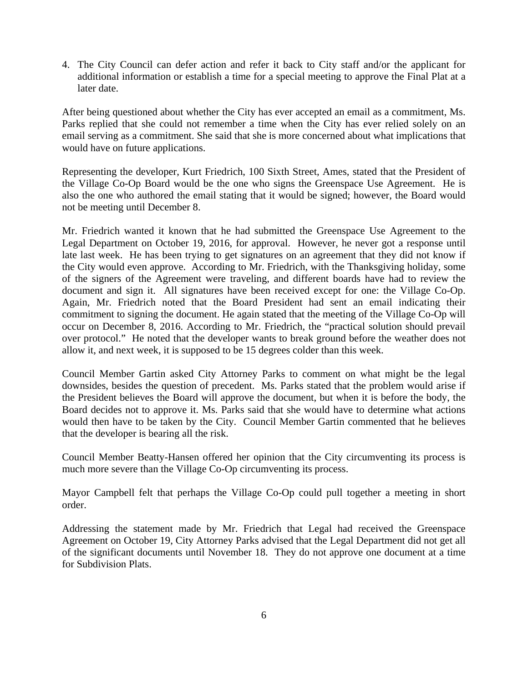4. The City Council can defer action and refer it back to City staff and/or the applicant for additional information or establish a time for a special meeting to approve the Final Plat at a later date.

After being questioned about whether the City has ever accepted an email as a commitment, Ms. Parks replied that she could not remember a time when the City has ever relied solely on an email serving as a commitment. She said that she is more concerned about what implications that would have on future applications.

Representing the developer, Kurt Friedrich, 100 Sixth Street, Ames, stated that the President of the Village Co-Op Board would be the one who signs the Greenspace Use Agreement. He is also the one who authored the email stating that it would be signed; however, the Board would not be meeting until December 8.

Mr. Friedrich wanted it known that he had submitted the Greenspace Use Agreement to the Legal Department on October 19, 2016, for approval. However, he never got a response until late last week. He has been trying to get signatures on an agreement that they did not know if the City would even approve. According to Mr. Friedrich, with the Thanksgiving holiday, some of the signers of the Agreement were traveling, and different boards have had to review the document and sign it. All signatures have been received except for one: the Village Co-Op. Again, Mr. Friedrich noted that the Board President had sent an email indicating their commitment to signing the document. He again stated that the meeting of the Village Co-Op will occur on December 8, 2016. According to Mr. Friedrich, the "practical solution should prevail over protocol." He noted that the developer wants to break ground before the weather does not allow it, and next week, it is supposed to be 15 degrees colder than this week.

Council Member Gartin asked City Attorney Parks to comment on what might be the legal downsides, besides the question of precedent. Ms. Parks stated that the problem would arise if the President believes the Board will approve the document, but when it is before the body, the Board decides not to approve it. Ms. Parks said that she would have to determine what actions would then have to be taken by the City. Council Member Gartin commented that he believes that the developer is bearing all the risk.

Council Member Beatty-Hansen offered her opinion that the City circumventing its process is much more severe than the Village Co-Op circumventing its process.

Mayor Campbell felt that perhaps the Village Co-Op could pull together a meeting in short order.

Addressing the statement made by Mr. Friedrich that Legal had received the Greenspace Agreement on October 19, City Attorney Parks advised that the Legal Department did not get all of the significant documents until November 18. They do not approve one document at a time for Subdivision Plats.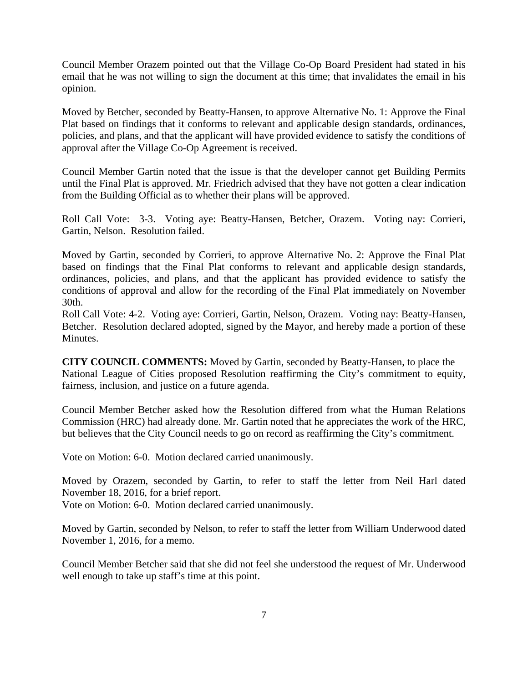Council Member Orazem pointed out that the Village Co-Op Board President had stated in his email that he was not willing to sign the document at this time; that invalidates the email in his opinion.

Moved by Betcher, seconded by Beatty-Hansen, to approve Alternative No. 1: Approve the Final Plat based on findings that it conforms to relevant and applicable design standards, ordinances, policies, and plans, and that the applicant will have provided evidence to satisfy the conditions of approval after the Village Co-Op Agreement is received.

Council Member Gartin noted that the issue is that the developer cannot get Building Permits until the Final Plat is approved. Mr. Friedrich advised that they have not gotten a clear indication from the Building Official as to whether their plans will be approved.

Roll Call Vote: 3-3. Voting aye: Beatty-Hansen, Betcher, Orazem. Voting nay: Corrieri, Gartin, Nelson. Resolution failed.

Moved by Gartin, seconded by Corrieri, to approve Alternative No. 2: Approve the Final Plat based on findings that the Final Plat conforms to relevant and applicable design standards, ordinances, policies, and plans, and that the applicant has provided evidence to satisfy the conditions of approval and allow for the recording of the Final Plat immediately on November 30th.

Roll Call Vote: 4-2. Voting aye: Corrieri, Gartin, Nelson, Orazem. Voting nay: Beatty-Hansen, Betcher. Resolution declared adopted, signed by the Mayor, and hereby made a portion of these Minutes.

**CITY COUNCIL COMMENTS:** Moved by Gartin, seconded by Beatty-Hansen, to place the National League of Cities proposed Resolution reaffirming the City's commitment to equity, fairness, inclusion, and justice on a future agenda.

Council Member Betcher asked how the Resolution differed from what the Human Relations Commission (HRC) had already done. Mr. Gartin noted that he appreciates the work of the HRC, but believes that the City Council needs to go on record as reaffirming the City's commitment.

Vote on Motion: 6-0. Motion declared carried unanimously.

Moved by Orazem, seconded by Gartin, to refer to staff the letter from Neil Harl dated November 18, 2016, for a brief report.

Vote on Motion: 6-0. Motion declared carried unanimously.

Moved by Gartin, seconded by Nelson, to refer to staff the letter from William Underwood dated November 1, 2016, for a memo.

Council Member Betcher said that she did not feel she understood the request of Mr. Underwood well enough to take up staff's time at this point.